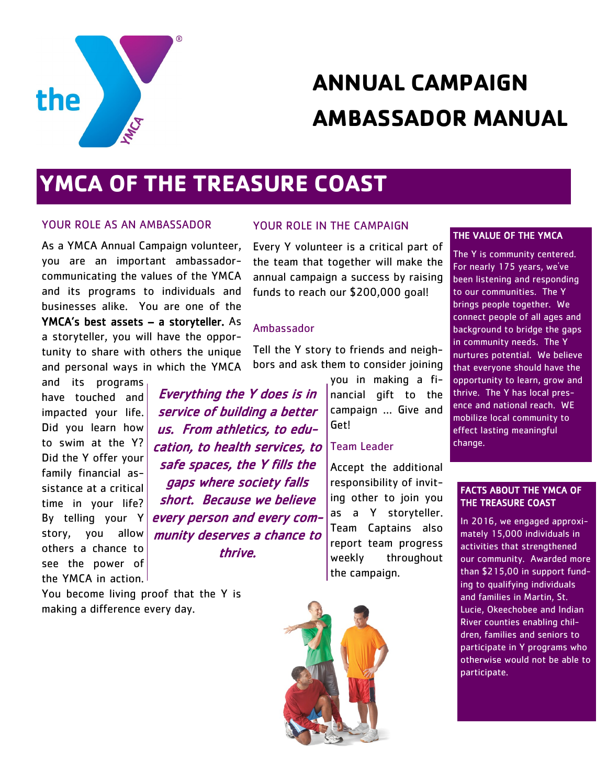

# **ANNUAL CAMPAIGN AMBASSADOR MANUAL**

## **YMCA OF THE TREASURE COAST**

#### YOUR ROLE AS AN AMBASSADOR

As a YMCA Annual Campaign volunteer, you are an important ambassadorcommunicating the values of the YMCA and its programs to individuals and businesses alike. You are one of the YMCA's best assets – a storyteller. As a storyteller, you will have the opportunity to share with others the unique and personal ways in which the YMCA

and its programs have touched and impacted your life. Did you learn how to swim at the Y? Did the Y offer your family financial assistance at a critical time in your life? By telling your Y story, you allow others a chance to see the power of the YMCA in action.

You become living proof that the Y is making a difference every day.

#### YOUR ROLE IN THE CAMPAIGN

Every Y volunteer is a critical part of the team that together will make the annual campaign a success by raising funds to reach our \$200,000 goal!

#### Ambassador

Tell the Y story to friends and neighbors and ask them to consider joining

Everything the Y does is in service of building a better us. From athletics, to education, to health services, to safe spaces, the Y fills the gaps where society falls short. Because we believe every person and every community deserves a chance to thrive.

you in making a financial gift to the campaign … Give and Get!

#### Team Leader

Accept the additional responsibility of inviting other to join you as a Y storyteller. Team Captains also report team progress weekly throughout the campaign.

#### THE VALUE OF THE YMCA

The Y is community centered. For nearly 175 years, we've been listening and responding to our communities. The Y brings people together. We connect people of all ages and background to bridge the gaps in community needs. The Y nurtures potential. We believe that everyone should have the opportunity to learn, grow and thrive. The Y has local presence and national reach. WE mobilize local community to effect lasting meaningful change.

#### FACTS ABOUT THE YMCA OF THE TREASURE COAST

In 2016, we engaged approximately 15,000 individuals in activities that strengthened our community. Awarded more than \$215,00 in support funding to qualifying individuals and families in Martin, St. Lucie, Okeechobee and Indian River counties enabling children, families and seniors to participate in Y programs who otherwise would not be able to participate.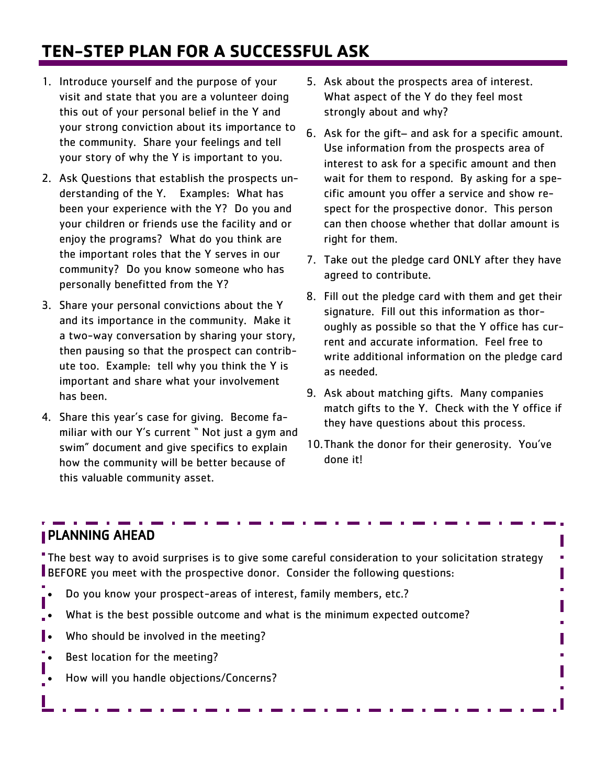## **TEN-STEP PLAN FOR A SUCCESSFUL ASK**

- 1. Introduce yourself and the purpose of your visit and state that you are a volunteer doing this out of your personal belief in the Y and your strong conviction about its importance to the community. Share your feelings and tell your story of why the Y is important to you.
- 2. Ask Questions that establish the prospects understanding of the Y. Examples: What has been your experience with the Y? Do you and your children or friends use the facility and or enjoy the programs? What do you think are the important roles that the Y serves in our community? Do you know someone who has personally benefitted from the Y?
- 3. Share your personal convictions about the Y and its importance in the community. Make it a two-way conversation by sharing your story, then pausing so that the prospect can contribute too. Example: tell why you think the Y is important and share what your involvement has been.
- 4. Share this year's case for giving. Become familiar with our Y's current " Not just a gym and swim" document and give specifics to explain how the community will be better because of this valuable community asset.
- 5. Ask about the prospects area of interest. What aspect of the Y do they feel most strongly about and why?
- 6. Ask for the gift– and ask for a specific amount. Use information from the prospects area of interest to ask for a specific amount and then wait for them to respond. By asking for a specific amount you offer a service and show respect for the prospective donor. This person can then choose whether that dollar amount is right for them.
- 7. Take out the pledge card ONLY after they have agreed to contribute.
- 8. Fill out the pledge card with them and get their signature. Fill out this information as thoroughly as possible so that the Y office has current and accurate information. Feel free to write additional information on the pledge card as needed.
- 9. Ask about matching gifts. Many companies match gifts to the Y. Check with the Y office if they have questions about this process.
- 10.Thank the donor for their generosity. You've done it!

П ×, Π à. П

## PLANNING AHEAD

The best way to avoid surprises is to give some careful consideration to your solicitation strategy BEFORE you meet with the prospective donor. Consider the following questions:

- Do you know your prospect-areas of interest, family members, etc.?
- What is the best possible outcome and what is the minimum expected outcome?
- Who should be involved in the meeting?
- Best location for the meeting?
- How will you handle objections/Concerns?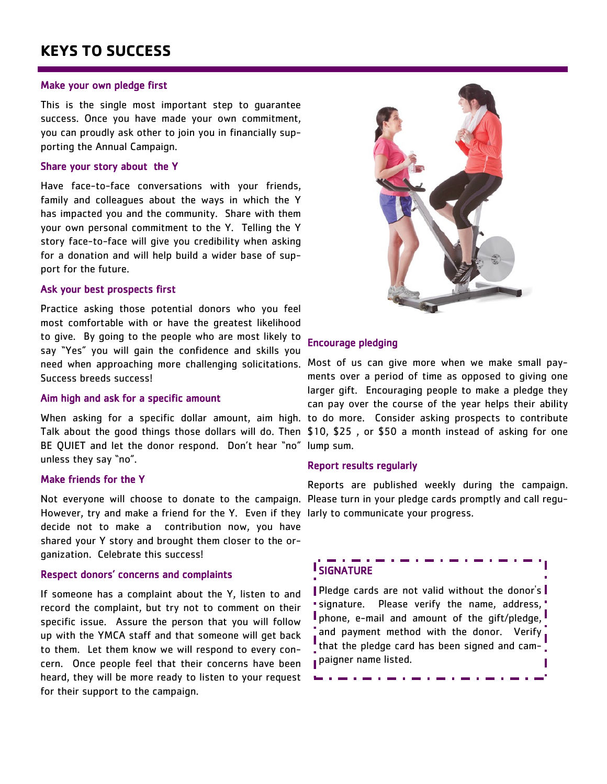## **KEYS TO SUCCESS**

#### Make your own pledge first

This is the single most important step to guarantee success. Once you have made your own commitment, you can proudly ask other to join you in financially supporting the Annual Campaign.

#### Share your story about the Y

Have face-to-face conversations with your friends, family and colleagues about the ways in which the Y has impacted you and the community. Share with them your own personal commitment to the Y. Telling the Y story face-to-face will give you credibility when asking for a donation and will help build a wider base of support for the future.

#### Ask your best prospects first

Practice asking those potential donors who you feel most comfortable with or have the greatest likelihood to give. By going to the people who are most likely to say "Yes" you will gain the confidence and skills you need when approaching more challenging solicitations. Most of us can give more when we make small pay-Success breeds success!

#### Aim high and ask for a specific amount

Talk about the good things those dollars will do. Then \$10, \$25 , or \$50 a month instead of asking for one BE QUIET and let the donor respond. Don't hear "no" lump sum. unless they say "no".

#### Make friends for the Y

Not everyone will choose to donate to the campaign. Please turn in your pledge cards promptly and call regu-However, try and make a friend for the Y. Even if they larly to communicate your progress. decide not to make a contribution now, you have shared your Y story and brought them closer to the organization. Celebrate this success!

#### Respect donors' concerns and complaints

If someone has a complaint about the Y, listen to and record the complaint, but try not to comment on their specific issue. Assure the person that you will follow up with the YMCA staff and that someone will get back to them. Let them know we will respond to every concern. Once people feel that their concerns have been heard, they will be more ready to listen to your request for their support to the campaign.



### Encourage pledging

When asking for a specific dollar amount, aim high. to do more. Consider asking prospects to contribute ments over a period of time as opposed to giving one larger gift. Encouraging people to make a pledge they can pay over the course of the year helps their ability

#### Report results regularly

Reports are published weekly during the campaign.

## **I** SIGNATURE

Pledge cards are not valid without the donor's signature. Please verify the name, address, **I** phone, e-mail and amount of the gift/pledge, and payment method with the donor. Verify that the pledge card has been signed and campaigner name listed.